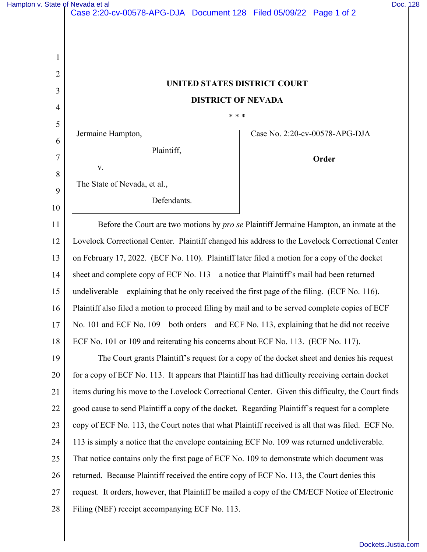| Hampton v. State of Nevada et al | Doc. 128 |  |
|----------------------------------|----------|--|
|----------------------------------|----------|--|

 $\parallel$ 

| 1  |                                                                                                   |                                |  |
|----|---------------------------------------------------------------------------------------------------|--------------------------------|--|
| 2  |                                                                                                   |                                |  |
| 3  | UNITED STATES DISTRICT COURT                                                                      |                                |  |
| 4  | <b>DISTRICT OF NEVADA</b>                                                                         |                                |  |
| 5  | * * *                                                                                             |                                |  |
| 6  | Jermaine Hampton,                                                                                 | Case No. 2:20-cv-00578-APG-DJA |  |
| 7  | Plaintiff,                                                                                        | Order                          |  |
| 8  | V.                                                                                                |                                |  |
| 9  | The State of Nevada, et al.,                                                                      |                                |  |
| 10 | Defendants.                                                                                       |                                |  |
| 11 | Before the Court are two motions by pro se Plaintiff Jermaine Hampton, an inmate at the           |                                |  |
| 12 | Lovelock Correctional Center. Plaintiff changed his address to the Lovelock Correctional Center   |                                |  |
| 13 | on February 17, 2022. (ECF No. 110). Plaintiff later filed a motion for a copy of the docket      |                                |  |
| 14 | sheet and complete copy of ECF No. 113—a notice that Plaintiff's mail had been returned           |                                |  |
| 15 | undeliverable—explaining that he only received the first page of the filing. (ECF No. 116).       |                                |  |
| 16 | Plaintiff also filed a motion to proceed filing by mail and to be served complete copies of ECF   |                                |  |
| 17 | No. 101 and ECF No. 109—both orders—and ECF No. 113, explaining that he did not receive           |                                |  |
| 18 | ECF No. 101 or 109 and reiterating his concerns about ECF No. 113. (ECF No. 117).                 |                                |  |
| 19 | The Court grants Plaintiff's request for a copy of the docket sheet and denies his request        |                                |  |
| 20 | for a copy of ECF No. 113. It appears that Plaintiff has had difficulty receiving certain docket  |                                |  |
| 21 | items during his move to the Lovelock Correctional Center. Given this difficulty, the Court finds |                                |  |
| 22 | good cause to send Plaintiff a copy of the docket. Regarding Plaintiff's request for a complete   |                                |  |
| 23 | copy of ECF No. 113, the Court notes that what Plaintiff received is all that was filed. ECF No.  |                                |  |
| 24 | 113 is simply a notice that the envelope containing ECF No. 109 was returned undeliverable.       |                                |  |
| 25 | That notice contains only the first page of ECF No. 109 to demonstrate which document was         |                                |  |
| 26 | returned. Because Plaintiff received the entire copy of ECF No. 113, the Court denies this        |                                |  |
| 27 | request. It orders, however, that Plaintiff be mailed a copy of the CM/ECF Notice of Electronic   |                                |  |
| 28 | Filing (NEF) receipt accompanying ECF No. 113.                                                    |                                |  |